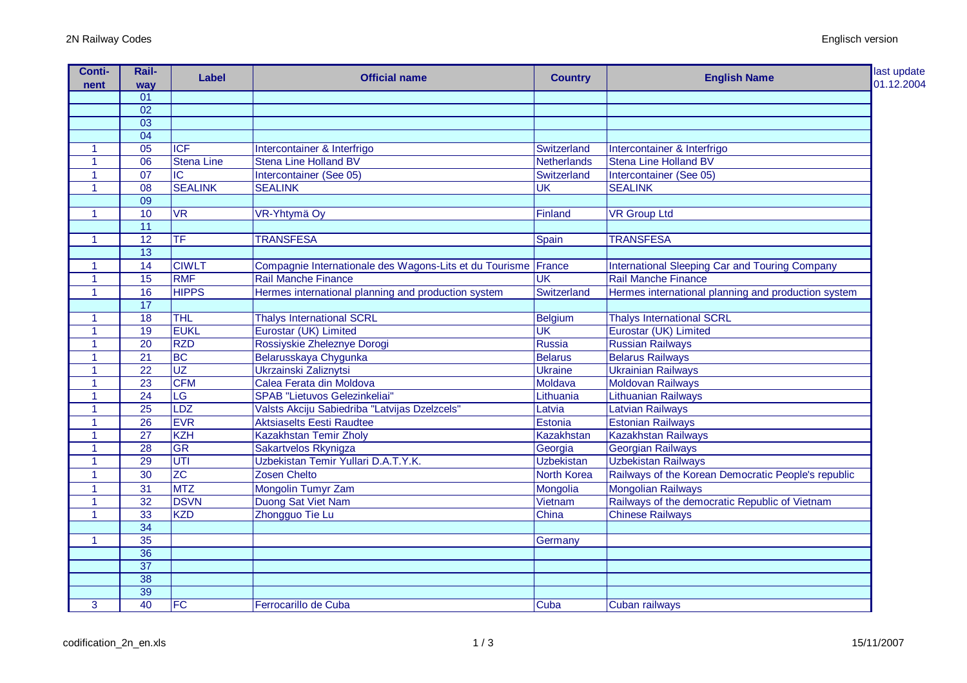| <b>Conti-</b><br>nent | Rail-<br>way    | Label                  | <b>Official name</b>                                           | <b>Country</b>           | <b>English Name</b>                                 | last update<br>01.12.2004 |
|-----------------------|-----------------|------------------------|----------------------------------------------------------------|--------------------------|-----------------------------------------------------|---------------------------|
|                       | 01              |                        |                                                                |                          |                                                     |                           |
|                       | $\overline{02}$ |                        |                                                                |                          |                                                     |                           |
|                       | $\overline{03}$ |                        |                                                                |                          |                                                     |                           |
|                       | $\overline{04}$ |                        |                                                                |                          |                                                     |                           |
| 1                     | 05              | <b>ICF</b>             | Intercontainer & Interfrigo                                    | Switzerland              | Intercontainer & Interfrigo                         |                           |
| $\blacktriangleleft$  | 06              | <b>Stena Line</b>      | <b>Stena Line Holland BV</b>                                   | Netherlands              | <b>Stena Line Holland BV</b>                        |                           |
| $\blacktriangleleft$  | $\overline{07}$ | IC                     | Intercontainer (See 05)                                        | Switzerland              | Intercontainer (See 05)                             |                           |
| $\blacktriangleleft$  | $\overline{08}$ | <b>SEALINK</b>         | <b>SEALINK</b>                                                 | $\overline{\mathsf{UK}}$ | <b>SEALINK</b>                                      |                           |
|                       | $\overline{09}$ |                        |                                                                |                          |                                                     |                           |
| $\mathbf{1}$          | 10              | <b>VR</b>              | VR-Yhtymä Oy                                                   | Finland                  | <b>VR Group Ltd</b>                                 |                           |
|                       | $\overline{11}$ |                        |                                                                |                          |                                                     |                           |
| $\blacktriangleleft$  | $\overline{12}$ | TF                     | <b>TRANSFESA</b>                                               | Spain                    | <b>TRANSFESA</b>                                    |                           |
|                       | $\overline{13}$ |                        |                                                                |                          |                                                     |                           |
| 1                     | $\overline{14}$ | <b>CIWLT</b>           | Compagnie Internationale des Wagons-Lits et du Tourisme France |                          | International Sleeping Car and Touring Company      |                           |
| $\blacktriangleleft$  | $\overline{15}$ | <b>RMF</b>             | <b>Rail Manche Finance</b>                                     | <b>UK</b>                | <b>Rail Manche Finance</b>                          |                           |
| $\blacktriangleleft$  | 16              | <b>HIPPS</b>           | Hermes international planning and production system            | Switzerland              | Hermes international planning and production system |                           |
|                       | $\overline{17}$ |                        |                                                                |                          |                                                     |                           |
| $\mathbf{1}$          | $\overline{18}$ | <b>THL</b>             | <b>Thalys International SCRL</b>                               | Belgium                  | <b>Thalys International SCRL</b>                    |                           |
| $\mathbf{1}$          | 19              | <b>EUKL</b>            | Eurostar (UK) Limited                                          | <b>UK</b>                | Eurostar (UK) Limited                               |                           |
| $\mathbf{1}$          | $\overline{20}$ | <b>RZD</b>             | Rossiyskie Zheleznye Dorogi                                    | Russia                   | <b>Russian Railways</b>                             |                           |
| 1                     | $\overline{21}$ | BC                     | Belarusskaya Chygunka                                          | Belarus                  | <b>Belarus Railways</b>                             |                           |
| $\mathbf{1}$          | $\overline{22}$ | UZ                     | <b>Ukrzainski Zaliznytsi</b>                                   | Ukraine                  | Ukrainian Railways                                  |                           |
| 1                     | $\overline{23}$ | <b>CFM</b>             | Calea Ferata din Moldova                                       | Moldava                  | <b>Moldovan Railways</b>                            |                           |
| $\blacktriangleleft$  | $\overline{24}$ | $\overline{\text{LG}}$ | SPAB "Lietuvos Gelezinkeliai"                                  | Lithuania                | <b>Lithuanian Railways</b>                          |                           |
| $\blacktriangleleft$  | $\overline{25}$ | LDZ                    | Valsts Akciju Sabiedriba "Latvijas Dzelzcels"                  | Latvia                   | <b>Latvian Railways</b>                             |                           |
| $\mathbf{1}$          | $\overline{26}$ | <b>EVR</b>             | <b>Aktsiaselts Eesti Raudtee</b>                               | Estonia                  | <b>Estonian Railways</b>                            |                           |
| 1                     | $\overline{27}$ | <b>KZH</b>             | Kazakhstan Temir Zholy                                         | Kazakhstan               | <b>Kazakhstan Railways</b>                          |                           |
| 1                     | $\overline{28}$ | <b>GR</b>              | Sakartvelos Rkynigza                                           | Georgia                  | <b>Georgian Railways</b>                            |                           |
| 1                     | 29              | UTI                    | Uzbekistan Temir Yullari D.A.T.Y.K.                            | <b>Uzbekistan</b>        | Uzbekistan Railways                                 |                           |
| $\mathbf{1}$          | 30              | $Z\overline{C}$        | Zosen Chelto                                                   | North Korea              | Railways of the Korean Democratic People's republic |                           |
| 1                     | $\overline{31}$ | <b>MTZ</b>             | Mongolin Tumyr Zam                                             | Mongolia                 | <b>Mongolian Railways</b>                           |                           |
| 1                     | $\overline{32}$ | <b>DSVN</b>            | Duong Sat Viet Nam                                             | Vietnam                  | Railways of the democratic Republic of Vietnam      |                           |
| 1                     | $\overline{33}$ | <b>KZD</b>             | Zhongguo Tie Lu                                                | China                    | <b>Chinese Railways</b>                             |                           |
|                       | $\overline{34}$ |                        |                                                                |                          |                                                     |                           |
| $\mathbf{1}$          | $\overline{35}$ |                        |                                                                | Germany                  |                                                     |                           |
|                       | $\overline{36}$ |                        |                                                                |                          |                                                     |                           |
|                       | $\overline{37}$ |                        |                                                                |                          |                                                     |                           |
|                       | $\overline{38}$ |                        |                                                                |                          |                                                     |                           |
|                       | $\overline{39}$ |                        |                                                                |                          |                                                     |                           |
| 3                     | $\overline{40}$ | FC                     | Ferrocarillo de Cuba                                           | Cuba                     | Cuban railways                                      |                           |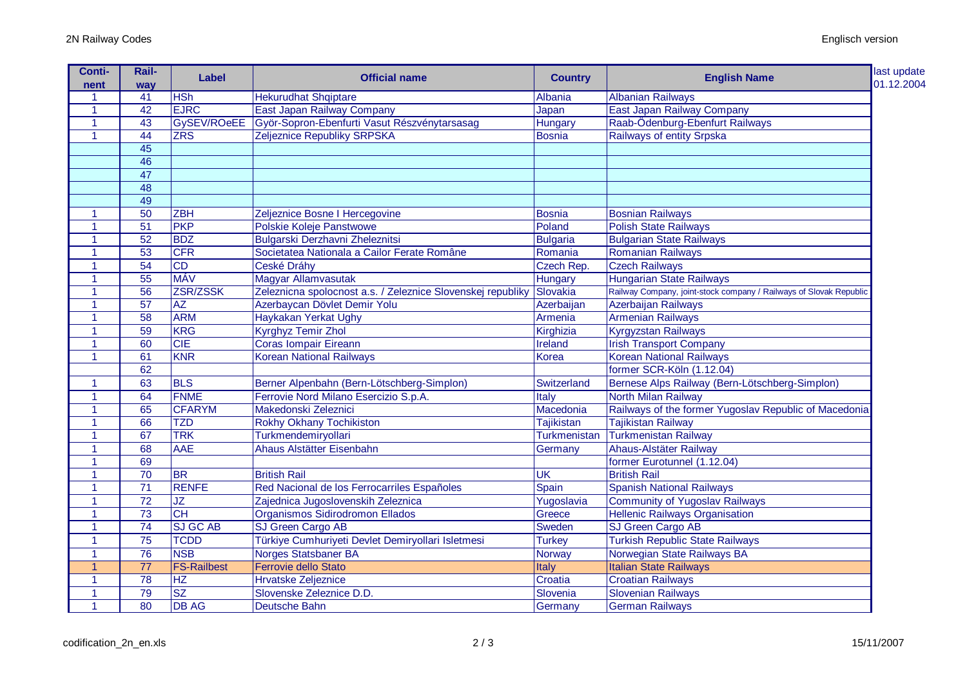| <b>Conti-</b>        | Rail-                  | <b>Label</b>           | <b>Official name</b>                                        | <b>Country</b>           | <b>English Name</b>                                                | last update<br>01.12.2004 |
|----------------------|------------------------|------------------------|-------------------------------------------------------------|--------------------------|--------------------------------------------------------------------|---------------------------|
| nent                 | way<br>$\overline{41}$ | <b>HSh</b>             | <b>Hekurudhat Shqiptare</b>                                 | Albania                  | <b>Albanian Railways</b>                                           |                           |
|                      | 42                     | <b>EJRC</b>            |                                                             |                          | East Japan Railway Company                                         |                           |
|                      | 43                     |                        | East Japan Railway Company                                  | Japan                    |                                                                    |                           |
|                      |                        |                        | GySEV/ROeEE Györ-Sopron-Ebenfurti Vasut Részvénytarsasag    | Hungary                  | Raab-Ödenburg-Ebenfurt Railways                                    |                           |
| $\blacktriangleleft$ | $\overline{44}$        | ZRS                    | Zeljeznice Republiky SRPSKA                                 | <b>Bosnia</b>            | Railways of entity Srpska                                          |                           |
|                      | 45                     |                        |                                                             |                          |                                                                    |                           |
|                      | 46                     |                        |                                                             |                          |                                                                    |                           |
|                      | $\overline{47}$        |                        |                                                             |                          |                                                                    |                           |
|                      | $\overline{48}$        |                        |                                                             |                          |                                                                    |                           |
|                      | 49                     |                        |                                                             |                          |                                                                    |                           |
|                      | 50                     | <b>ZBH</b>             | Zeljeznice Bosne I Hercegovine                              | Bosnia                   | <b>Bosnian Railways</b>                                            |                           |
|                      | $\overline{51}$        | <b>PKP</b>             | Polskie Koleje Panstwowe                                    | Poland                   | Polish State Railways                                              |                           |
|                      | $\overline{52}$        | <b>BDZ</b>             | Bulgarski Derzhavni Zheleznitsi                             | <b>Bulgaria</b>          | <b>Bulgarian State Railways</b>                                    |                           |
| $\blacktriangleleft$ | $\overline{53}$        | <b>CFR</b>             | Societatea Nationala a Cailor Ferate Române                 | Romania                  | <b>Romanian Railways</b>                                           |                           |
| $\mathbf{1}$         | $\overline{54}$        | $\overline{CD}$        | Ceské Dráhy                                                 | Czech Rep.               | <b>Czech Railways</b>                                              |                           |
|                      | $\overline{55}$        | <b>MÁV</b>             | Magyar Allamvasutak                                         | <b>Hungary</b>           | <b>Hungarian State Railways</b>                                    |                           |
|                      | 56                     | ZSR/ZSSK               | Zeleznicna spolocnost a.s. / Zeleznice Slovenskej republiky | Slovakia                 | Railway Company, joint-stock company / Railways of Slovak Republic |                           |
|                      | 57                     | <b>AZ</b>              | Azerbaycan Dövlet Demir Yolu                                | Azerbaijan               | Azerbaijan Railways                                                |                           |
|                      | 58                     | <b>ARM</b>             | Haykakan Yerkat Ughy                                        | Armenia                  | <b>Armenian Railways</b>                                           |                           |
|                      | 59                     | <b>KRG</b>             | <b>Kyrghyz Temir Zhol</b>                                   | Kirghizia                | <b>Kyrgyzstan Railways</b>                                         |                           |
|                      | 60                     | <b>CIE</b>             | <b>Coras Iompair Eireann</b>                                | Ireland                  | <b>Irish Transport Company</b>                                     |                           |
| 1                    | 61                     | <b>KNR</b>             | <b>Korean National Railways</b>                             | Korea                    | <b>Korean National Railways</b>                                    |                           |
|                      | 62                     |                        |                                                             |                          | former SCR-Köln (1.12.04)                                          |                           |
| 1                    | 63                     | <b>BLS</b>             | Berner Alpenbahn (Bern-Lötschberg-Simplon)                  | Switzerland              | Bernese Alps Railway (Bern-Lötschberg-Simplon)                     |                           |
| 1                    | 64                     | <b>FNME</b>            | Ferrovie Nord Milano Esercizio S.p.A.                       | Italy                    | North Milan Railway                                                |                           |
|                      | 65                     | <b>CFARYM</b>          | Makedonski Zeleznici                                        | Macedonia                | Railways of the former Yugoslav Republic of Macedonia              |                           |
|                      | 66                     | <b>TZD</b>             | <b>Rokhy Okhany Tochikiston</b>                             | Tajikistan               | <b>Tajikistan Railway</b>                                          |                           |
| 1                    | 67                     | <b>TRK</b>             | Turkmendemiryollari                                         | <b>Turkmenistan</b>      | <b>Turkmenistan Railway</b>                                        |                           |
| $\blacktriangleleft$ | 68                     | <b>AAE</b>             | Ahaus Alstätter Eisenbahn                                   | Germany                  | Ahaus-Alstäter Railway                                             |                           |
|                      | 69                     |                        |                                                             |                          | former Eurotunnel (1.12.04)                                        |                           |
| 1                    | $\overline{70}$        | <b>BR</b>              | <b>British Rail</b>                                         | $\overline{\mathsf{UK}}$ | <b>British Rail</b>                                                |                           |
| -1                   | $\overline{71}$        | <b>RENFE</b>           | Red Nacional de los Ferrocarriles Españoles                 | Spain                    | <b>Spanish National Railways</b>                                   |                           |
| $\blacktriangleleft$ | $\overline{72}$        | <b>JZ</b>              | Zajednica Jugoslovenskih Zeleznica                          | Yugoslavia               | <b>Community of Yugoslav Railways</b>                              |                           |
| 1                    | 73                     | CH                     | Organismos Sidirodromon Ellados                             | Greece                   | <b>Hellenic Railways Organisation</b>                              |                           |
| 1                    | $\overline{74}$        | <b>SJ GC AB</b>        | SJ Green Cargo AB                                           | Sweden                   | SJ Green Cargo AB                                                  |                           |
| $\mathbf{1}$         | $\overline{75}$        | <b>TCDD</b>            | Türkiye Cumhuriyeti Devlet Demiryollari Isletmesi           | <b>Turkey</b>            | <b>Turkish Republic State Railways</b>                             |                           |
| 1                    | $\overline{76}$        | <b>NSB</b>             | <b>Norges Statsbaner BA</b>                                 | <b>Norway</b>            | Norwegian State Railways BA                                        |                           |
|                      | $\overline{77}$        | <b>FS-Railbest</b>     | Ferrovie dello Stato                                        | <b>Italy</b>             | <b>Italian State Railways</b>                                      |                           |
|                      | 78                     | HZ                     | <b>Hrvatske Zeljeznice</b>                                  | Croatia                  | <b>Croatian Railways</b>                                           |                           |
|                      | $\overline{79}$        | $\overline{\text{SZ}}$ | Slovenske Zeleznice D.D.                                    | Slovenia                 | <b>Slovenian Railways</b>                                          |                           |
|                      |                        |                        |                                                             |                          |                                                                    |                           |
| 1                    | 80                     | <b>DB AG</b>           | <b>Deutsche Bahn</b>                                        | Germany                  | <b>German Railways</b>                                             |                           |